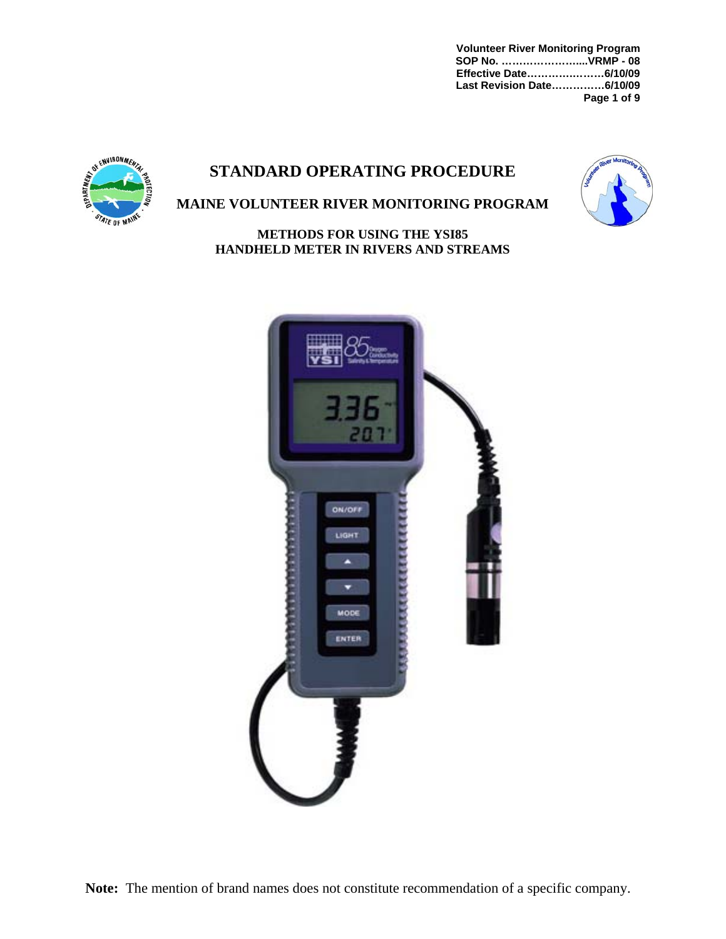**Volunteer River Monitoring Program SOP No. …………………....VRMP - 08 Effective Date………….………6/10/09 Last Revision Date……………6/10/09 Page 1 of 9** 

# **STANDARD OPERATING PROCEDURE**





## **MAINE VOLUNTEER RIVER MONITORING PROGRAM**

**METHODS FOR USING THE YSI85 HANDHELD METER IN RIVERS AND STREAMS** 

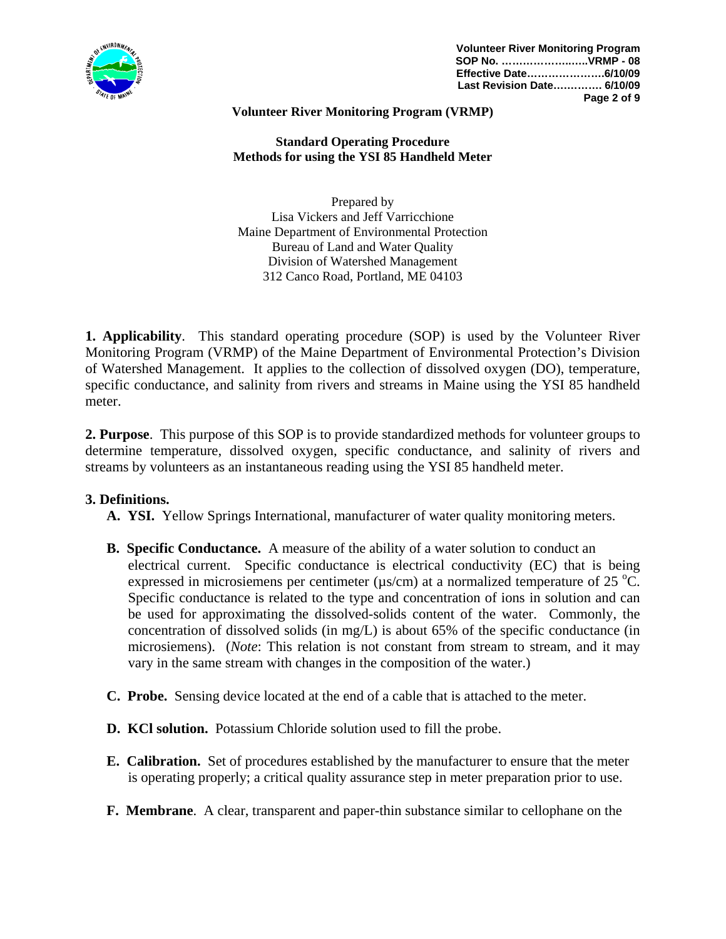

#### **Volunteer River Monitoring Program (VRMP)**

**Standard Operating Procedure Methods for using the YSI 85 Handheld Meter** 

Prepared by Lisa Vickers and Jeff Varricchione Maine Department of Environmental Protection Bureau of Land and Water Quality Division of Watershed Management 312 Canco Road, Portland, ME 04103

**1. Applicability**. This standard operating procedure (SOP) is used by the Volunteer River Monitoring Program (VRMP) of the Maine Department of Environmental Protection's Division of Watershed Management. It applies to the collection of dissolved oxygen (DO), temperature, specific conductance, and salinity from rivers and streams in Maine using the YSI 85 handheld meter.

**2. Purpose**. This purpose of this SOP is to provide standardized methods for volunteer groups to determine temperature, dissolved oxygen, specific conductance, and salinity of rivers and streams by volunteers as an instantaneous reading using the YSI 85 handheld meter.

#### **3. Definitions.**

- **A. YSI.** Yellow Springs International, manufacturer of water quality monitoring meters.
- **B. Specific Conductance.** A measure of the ability of a water solution to conduct an electrical current. Specific conductance is electrical conductivity (EC) that is being expressed in microsiemens per centimeter ( $\mu$ s/cm) at a normalized temperature of 25 °C. Specific conductance is related to the type and concentration of ions in solution and can be used for approximating the dissolved-solids content of the water. Commonly, the concentration of dissolved solids (in mg/L) is about 65% of the specific conductance (in microsiemens). (*Note*: This relation is not constant from stream to stream, and it may vary in the same stream with changes in the composition of the water.)
- **C. Probe.** Sensing device located at the end of a cable that is attached to the meter.
- **D. KCl solution.** Potassium Chloride solution used to fill the probe.
- **E. Calibration.** Set of procedures established by the manufacturer to ensure that the meter is operating properly; a critical quality assurance step in meter preparation prior to use.
- **F. Membrane**. A clear, transparent and paper-thin substance similar to cellophane on the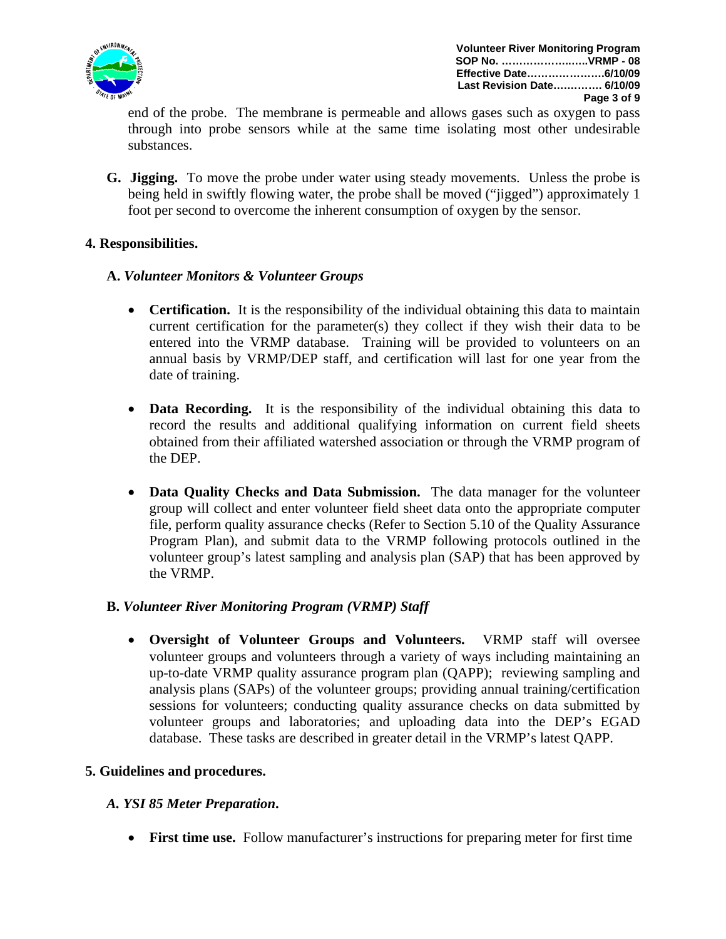

end of the probe. The membrane is permeable and allows gases such as oxygen to pass through into probe sensors while at the same time isolating most other undesirable substances.

**G. Jigging.** To move the probe under water using steady movements. Unless the probe is being held in swiftly flowing water, the probe shall be moved ("jigged") approximately 1 foot per second to overcome the inherent consumption of oxygen by the sensor.

## **4. Responsibilities.**

#### **A.** *Volunteer Monitors & Volunteer Groups*

- **Certification.** It is the responsibility of the individual obtaining this data to maintain current certification for the parameter(s) they collect if they wish their data to be entered into the VRMP database. Training will be provided to volunteers on an annual basis by VRMP/DEP staff, and certification will last for one year from the date of training.
- **Data Recording.** It is the responsibility of the individual obtaining this data to record the results and additional qualifying information on current field sheets obtained from their affiliated watershed association or through the VRMP program of the DEP.
- **Data Quality Checks and Data Submission.** The data manager for the volunteer group will collect and enter volunteer field sheet data onto the appropriate computer file, perform quality assurance checks (Refer to Section 5.10 of the Quality Assurance Program Plan), and submit data to the VRMP following protocols outlined in the volunteer group's latest sampling and analysis plan (SAP) that has been approved by the VRMP.

## **B.** *Volunteer River Monitoring Program (VRMP) Staff*

• **Oversight of Volunteer Groups and Volunteers.** VRMP staff will oversee volunteer groups and volunteers through a variety of ways including maintaining an up-to-date VRMP quality assurance program plan (QAPP); reviewing sampling and analysis plans (SAPs) of the volunteer groups; providing annual training/certification sessions for volunteers; conducting quality assurance checks on data submitted by volunteer groups and laboratories; and uploading data into the DEP's EGAD database. These tasks are described in greater detail in the VRMP's latest QAPP.

#### **5. Guidelines and procedures.**

## *A. YSI 85 Meter Preparation***.**

• **First time use.** Follow manufacturer's instructions for preparing meter for first time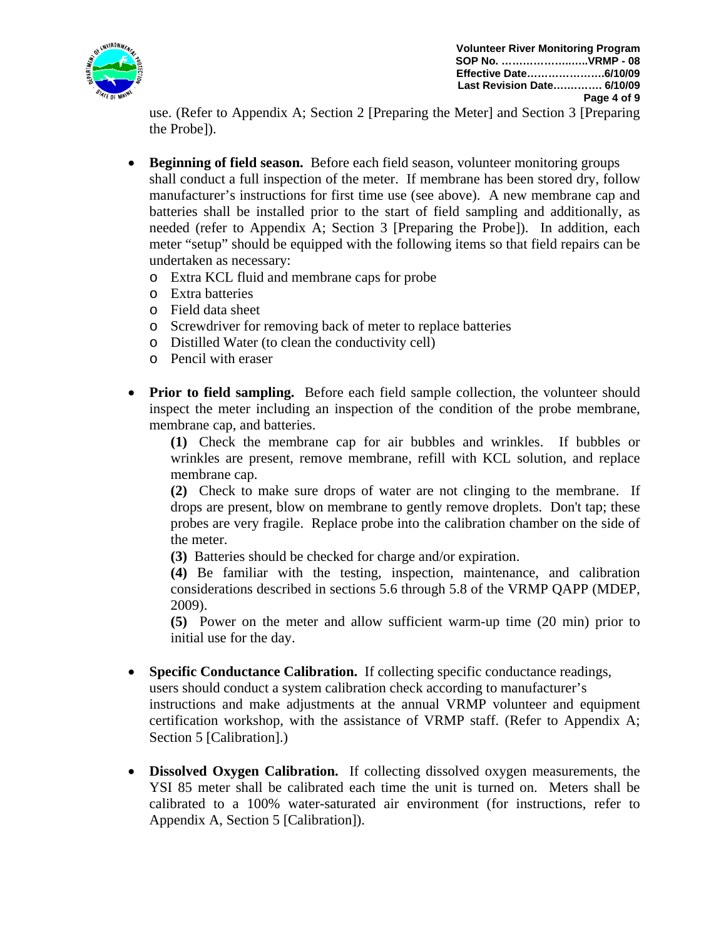

use. (Refer to Appendix A; Section 2 [Preparing the Meter] and Section 3 [Preparing the Probe]).

- **Beginning of field season.** Before each field season, volunteer monitoring groups shall conduct a full inspection of the meter. If membrane has been stored dry, follow manufacturer's instructions for first time use (see above). A new membrane cap and batteries shall be installed prior to the start of field sampling and additionally, as needed (refer to Appendix A; Section 3 [Preparing the Probe]). In addition, each meter "setup" should be equipped with the following items so that field repairs can be undertaken as necessary:
	- o Extra KCL fluid and membrane caps for probe
	- o Extra batteries
	- o Field data sheet
	- o Screwdriver for removing back of meter to replace batteries
	- o Distilled Water (to clean the conductivity cell)
	- o Pencil with eraser
- **Prior to field sampling.** Before each field sample collection, the volunteer should inspect the meter including an inspection of the condition of the probe membrane, membrane cap, and batteries.

 **(1)** Check the membrane cap for air bubbles and wrinkles. If bubbles or wrinkles are present, remove membrane, refill with KCL solution, and replace membrane cap.

 **(2)** Check to make sure drops of water are not clinging to the membrane. If drops are present, blow on membrane to gently remove droplets. Don't tap; these probes are very fragile. Replace probe into the calibration chamber on the side of the meter.

**(3)** Batteries should be checked for charge and/or expiration.

**(4)** Be familiar with the testing, inspection, maintenance, and calibration considerations described in sections 5.6 through 5.8 of the VRMP QAPP (MDEP, 2009).

**(5)** Power on the meter and allow sufficient warm-up time (20 min) prior to initial use for the day.

- **Specific Conductance Calibration.** If collecting specific conductance readings, users should conduct a system calibration check according to manufacturer's instructions and make adjustments at the annual VRMP volunteer and equipment certification workshop, with the assistance of VRMP staff. (Refer to Appendix A; Section 5 [Calibration].)
- **Dissolved Oxygen Calibration.** If collecting dissolved oxygen measurements, the YSI 85 meter shall be calibrated each time the unit is turned on. Meters shall be calibrated to a 100% water-saturated air environment (for instructions, refer to Appendix A, Section 5 [Calibration]).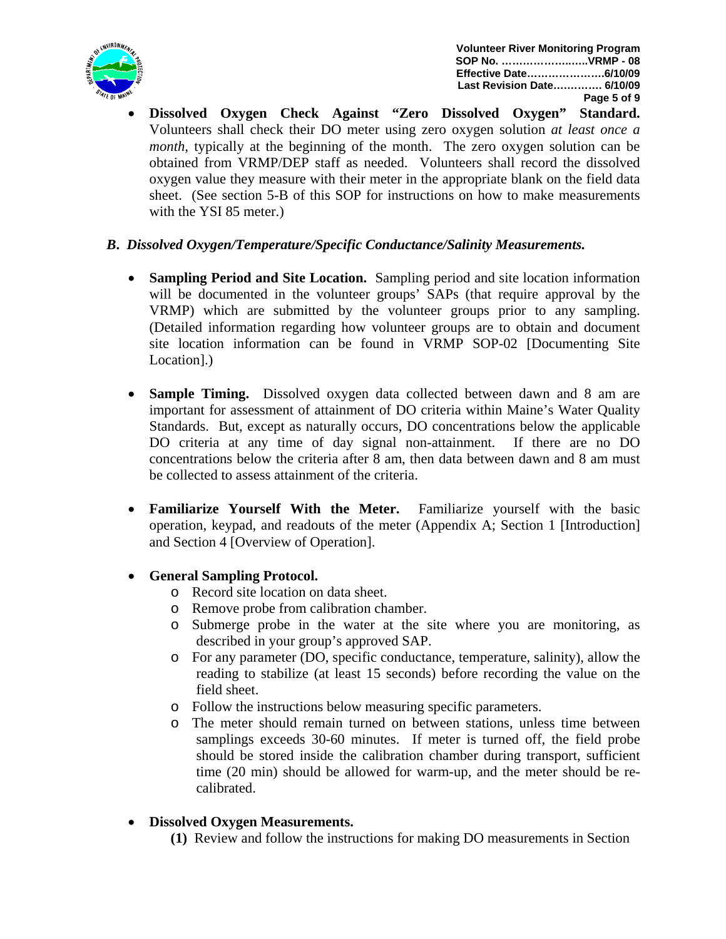

• **Dissolved Oxygen Check Against "Zero Dissolved Oxygen" Standard.** Volunteers shall check their DO meter using zero oxygen solution *at least once a month*, typically at the beginning of the month. The zero oxygen solution can be obtained from VRMP/DEP staff as needed. Volunteers shall record the dissolved oxygen value they measure with their meter in the appropriate blank on the field data sheet. (See section 5-B of this SOP for instructions on how to make measurements with the YSI 85 meter.)

## *B***.** *Dissolved Oxygen/Temperature/Specific Conductance/Salinity Measurements.*

- **Sampling Period and Site Location.** Sampling period and site location information will be documented in the volunteer groups' SAPs (that require approval by the VRMP) which are submitted by the volunteer groups prior to any sampling. (Detailed information regarding how volunteer groups are to obtain and document site location information can be found in VRMP SOP-02 [Documenting Site Location].)
- **Sample Timing.** Dissolved oxygen data collected between dawn and 8 am are important for assessment of attainment of DO criteria within Maine's Water Quality Standards. But, except as naturally occurs, DO concentrations below the applicable DO criteria at any time of day signal non-attainment. If there are no DO concentrations below the criteria after 8 am, then data between dawn and 8 am must be collected to assess attainment of the criteria.
- **Familiarize Yourself With the Meter.** Familiarize yourself with the basic operation, keypad, and readouts of the meter (Appendix A; Section 1 [Introduction] and Section 4 [Overview of Operation].
- **General Sampling Protocol.** 
	- o Record site location on data sheet.
	- o Remove probe from calibration chamber.
	- o Submerge probe in the water at the site where you are monitoring, as described in your group's approved SAP.
	- o For any parameter (DO, specific conductance, temperature, salinity), allow the reading to stabilize (at least 15 seconds) before recording the value on the field sheet.
	- o Follow the instructions below measuring specific parameters.
	- o The meter should remain turned on between stations, unless time between samplings exceeds 30-60 minutes. If meter is turned off, the field probe should be stored inside the calibration chamber during transport, sufficient time (20 min) should be allowed for warm-up, and the meter should be recalibrated.
- **Dissolved Oxygen Measurements.** 
	- **(1)** Review and follow the instructions for making DO measurements in Section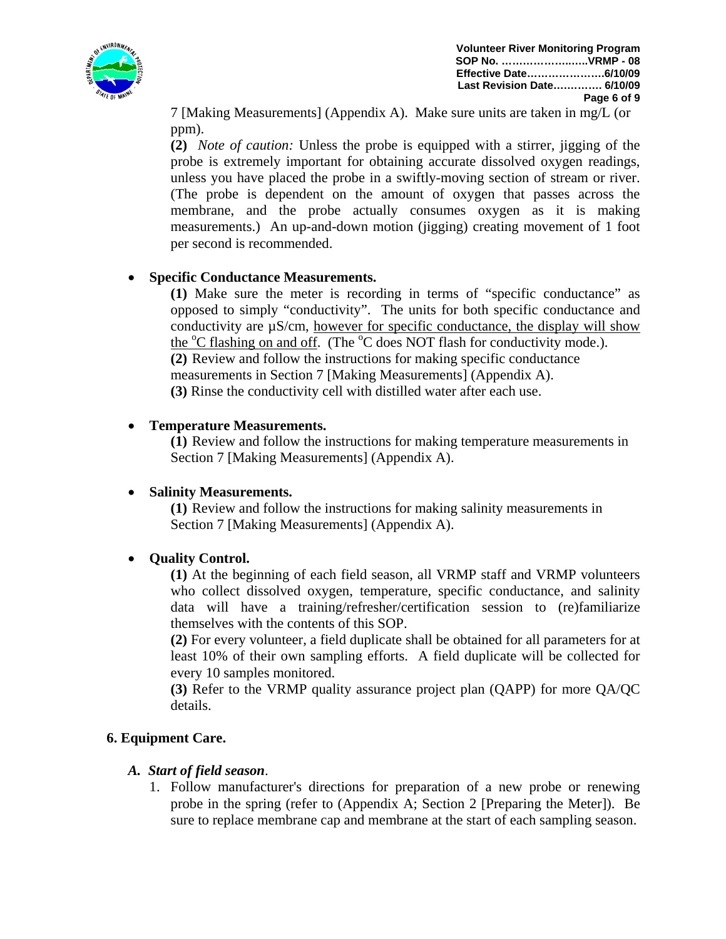

7 [Making Measurements] (Appendix A). Make sure units are taken in mg/L (or ppm).

**(2)** *Note of caution:* Unless the probe is equipped with a stirrer, jigging of the probe is extremely important for obtaining accurate dissolved oxygen readings, unless you have placed the probe in a swiftly-moving section of stream or river. (The probe is dependent on the amount of oxygen that passes across the membrane, and the probe actually consumes oxygen as it is making measurements.) An up-and-down motion (jigging) creating movement of 1 foot per second is recommended.

#### • **Specific Conductance Measurements.**

 **(1)** Make sure the meter is recording in terms of "specific conductance" as opposed to simply "conductivity". The units for both specific conductance and conductivity are µS/cm, however for specific conductance, the display will show the <sup>o</sup>C flashing on and off. (The <sup>o</sup>C does NOT flash for conductivity mode.). **(2)** Review and follow the instructions for making specific conductance measurements in Section 7 [Making Measurements] (Appendix A).  **(3)** Rinse the conductivity cell with distilled water after each use.

#### • **Temperature Measurements.**

**(1)** Review and follow the instructions for making temperature measurements in Section 7 [Making Measurements] (Appendix A).

#### • **Salinity Measurements.**

**(1)** Review and follow the instructions for making salinity measurements in Section 7 [Making Measurements] (Appendix A).

## • **Quality Control.**

**(1)** At the beginning of each field season, all VRMP staff and VRMP volunteers who collect dissolved oxygen, temperature, specific conductance, and salinity data will have a training/refresher/certification session to (re)familiarize themselves with the contents of this SOP.

**(2)** For every volunteer, a field duplicate shall be obtained for all parameters for at least 10% of their own sampling efforts. A field duplicate will be collected for every 10 samples monitored.

**(3)** Refer to the VRMP quality assurance project plan (QAPP) for more QA/QC details.

#### **6. Equipment Care.**

#### *A. Start of field season*.

1. Follow manufacturer's directions for preparation of a new probe or renewing probe in the spring (refer to (Appendix A; Section 2 [Preparing the Meter]). Be sure to replace membrane cap and membrane at the start of each sampling season.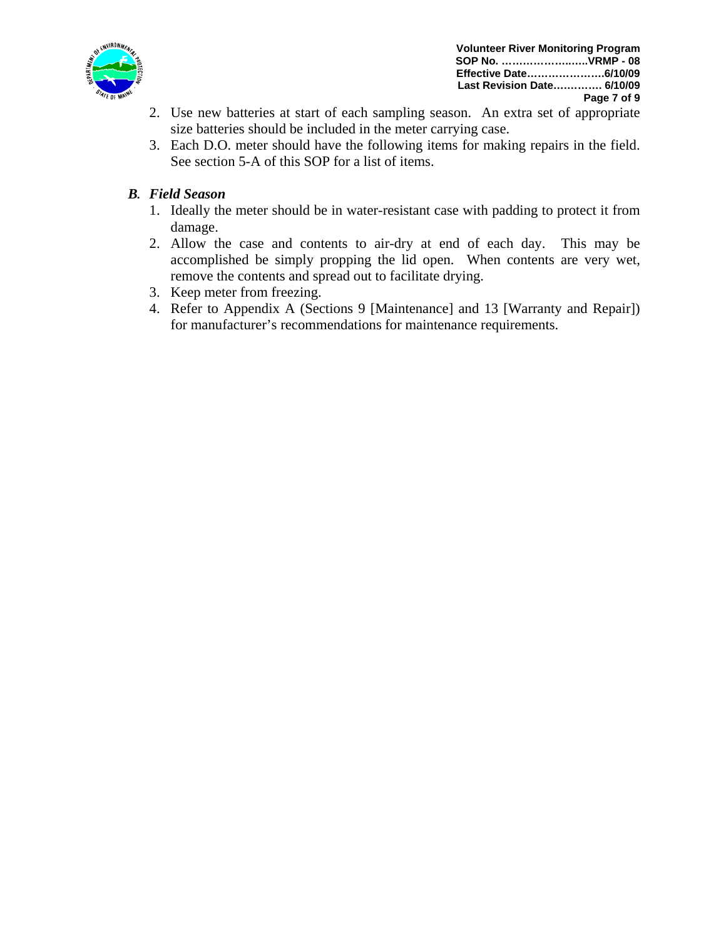

- 2. Use new batteries at start of each sampling season. An extra set of appropriate size batteries should be included in the meter carrying case.
- 3. Each D.O. meter should have the following items for making repairs in the field. See section 5-A of this SOP for a list of items.

## *B. Field Season*

- 1. Ideally the meter should be in water-resistant case with padding to protect it from damage.
- 2. Allow the case and contents to air-dry at end of each day. This may be accomplished be simply propping the lid open. When contents are very wet, remove the contents and spread out to facilitate drying.
- 3. Keep meter from freezing.
- 4. Refer to Appendix A (Sections 9 [Maintenance] and 13 [Warranty and Repair]) for manufacturer's recommendations for maintenance requirements.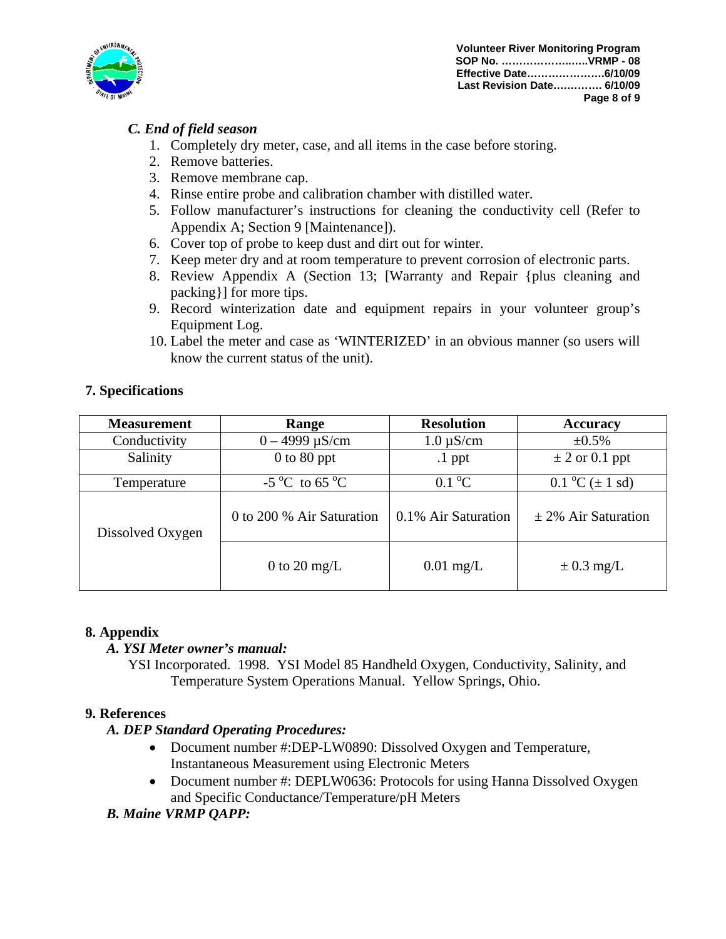

**Volunteer River Monitoring Program SOP No. ………………..…..VRMP - 08 Effective Date………………….6/10/09 Last Revision Date….………. 6/10/09 Page 8 of 9**

## *C. End of field season*

- 1. Completely dry meter, case, and all items in the case before storing.
- 2. Remove batteries.
- 3. Remove membrane cap.
- 4. Rinse entire probe and calibration chamber with distilled water.
- 5. Follow manufacturer's instructions for cleaning the conductivity cell (Refer to Appendix A; Section 9 [Maintenance]).
- 6. Cover top of probe to keep dust and dirt out for winter.
- 7. Keep meter dry and at room temperature to prevent corrosion of electronic parts.
- 8. Review Appendix A (Section 13; [Warranty and Repair {plus cleaning and packing}] for more tips.
- 9. Record winterization date and equipment repairs in your volunteer group's Equipment Log.
- 10. Label the meter and case as 'WINTERIZED' in an obvious manner (so users will know the current status of the unit).

| <b>Measurement</b> | Range                             | <b>Resolution</b>   | <b>Accuracy</b>                                          |
|--------------------|-----------------------------------|---------------------|----------------------------------------------------------|
| Conductivity       | $0 - 4999 \mu S/cm$               | $1.0 \mu S/cm$      | $\pm 0.5\%$                                              |
| Salinity           | $0$ to $80$ ppt                   | $\cdot$ 1 ppt       | $\pm$ 2 or 0.1 ppt                                       |
| Temperature        | $-5^{\circ}$ C to 65 $^{\circ}$ C | $0.1\text{ °C}$     | $0.1 \,^{\circ}\text{C}$ ( $\pm 1 \,^{\circ}\text{sd}$ ) |
| Dissolved Oxygen   | 0 to 200 % Air Saturation         | 0.1% Air Saturation | $\pm$ 2% Air Saturation                                  |
|                    | 0 to 20 mg/L                      | $0.01$ mg/L         | $\pm$ 0.3 mg/L                                           |

## **7. Specifications**

#### **8. Appendix**

#### *A. YSI Meter owner's manual:*

YSI Incorporated. 1998. YSI Model 85 Handheld Oxygen, Conductivity, Salinity, and Temperature System Operations Manual. Yellow Springs, Ohio.

#### **9. References**

#### *A. DEP Standard Operating Procedures:*

- Document number #:DEP-LW0890: Dissolved Oxygen and Temperature, Instantaneous Measurement using Electronic Meters
- Document number #: DEPLW0636: Protocols for using Hanna Dissolved Oxygen and Specific Conductance/Temperature/pH Meters
- *B. Maine VRMP QAPP:*